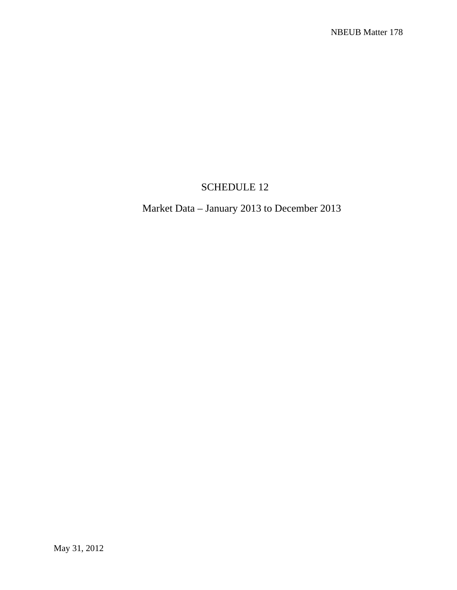## SCHEDULE 12

## Market Data – January 2013 to December 2013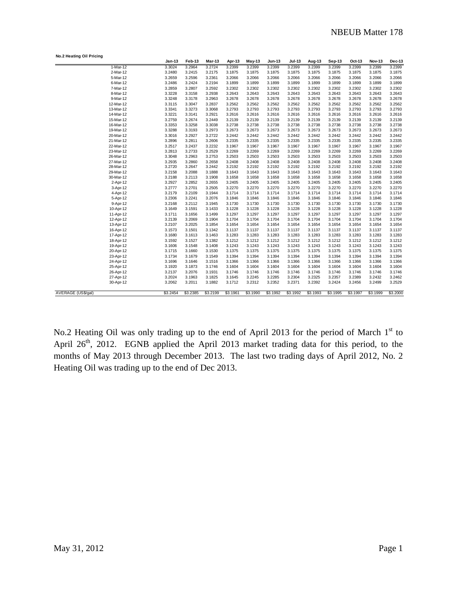| No.2 Heating Oil Pricing |               |          |          |          |          |               |               |          |               |          |               |          |
|--------------------------|---------------|----------|----------|----------|----------|---------------|---------------|----------|---------------|----------|---------------|----------|
|                          | <b>Jan-13</b> | Feb-13   | Mar-13   | Apr-13   | May-13   | <b>Jun-13</b> | <b>Jul-13</b> | Aug-13   | <b>Sep-13</b> | Oct-13   | <b>Nov-13</b> | Dec-13   |
| 1-Mar-12                 | 3.3024        | 3.2964   | 3.2724   | 3.2399   | 3.2399   | 3.2399        | 3.2399        | 3.2399   | 3.2399        | 3.2399   | 3.2399        | 3.2399   |
| 2-Mar-12                 | 3.2480        | 3.2415   | 3.2175   | 3.1875   | 3.1875   | 3.1875        | 3.1875        | 3.1875   | 3.1875        | 3.1875   | 3.1875        | 3.1875   |
| 5-Mar-12                 | 3.2659        | 3.2596   | 3.2361   | 3.2066   | 3.2066   | 3.2066        | 3.2066        | 3.2066   | 3.2066        | 3.2066   | 3.2066        | 3.2066   |
| 6-Mar-12                 | 3.2486        | 3.2424   | 3.2194   | 3.1899   | 3.1899   | 3.1899        | 3.1899        | 3.1899   | 3.1899        | 3.1899   | 3.1899        | 3.1899   |
| 7-Mar-12                 | 3.2859        | 3.2807   | 3.2592   | 3.2302   | 3.2302   | 3.2302        | 3.2302        | 3.2302   | 3.2302        | 3.2302   | 3.2302        | 3.2302   |
| 8-Mar-12                 | 3.3228        | 3.3158   | 3.2938   | 3.2643   | 3.2643   | 3.2643        | 3.2643        | 3.2643   | 3.2643        | 3.2643   | 3.2643        | 3.2643   |
| 9-Mar-12                 | 3.3248        | 3.3178   | 3.2963   | 3.2678   | 3.2678   | 3.2678        | 3.2678        | 3.2678   | 3.2678        | 3.2678   | 3.2678        | 3.2678   |
| 12-Mar-12                | 3.3115        | 3.3047   | 3.2837   | 3.2562   | 3.2562   | 3.2562        | 3.2562        | 3.2562   | 3.2562        | 3.2562   | 3.2562        | 3.2562   |
| 13-Mar-12                | 3.3341        | 3.3273   | 3.3068   | 3.2793   | 3.2793   | 3.2793        | 3.2793        | 3.2793   | 3.2793        | 3.2793   | 3.2793        | 3.2793   |
| 14-Mar-12                | 3.3221        | 3.3141   | 3.2921   | 3.2616   | 3.2616   | 3.2616        | 3.2616        | 3.2616   | 3.2616        | 3.2616   | 3.2616        | 3.2616   |
| 15-Mar-12                | 3.2759        | 3.2674   | 3.2449   | 3.2139   | 3.2139   | 3.2139        | 3.2139        | 3.2139   | 3.2139        | 3.2139   | 3.2139        | 3.2139   |
| 16-Mar-12                | 3.3353        | 3.3258   | 3.3038   | 3.2738   | 3.2738   | 3.2738        | 3.2738        | 3.2738   | 3.2738        | 3.2738   | 3.2738        | 3.2738   |
| 19-Mar-12                | 3.3288        | 3.3193   | 3.2973   | 3.2673   | 3.2673   | 3.2673        | 3.2673        | 3.2673   | 3.2673        | 3.2673   | 3.2673        | 3.2673   |
| 20-Mar-12                | 3.3016        | 3.2927   | 3.2722   | 3.2442   | 3.2442   | 3.2442        | 3.2442        | 3.2442   | 3.2442        | 3.2442   | 3.2442        | 3.2442   |
| 21-Mar-12                | 3.2896        | 3.2811   | 3.2606   | 3.2335   | 3.2335   | 3.2335        | 3.2335        | 3.2335   | 3.2335        | 3.2335   | 3.2335        | 3.2335   |
| 22-Mar-12                | 3.2517        | 3.2437   | 3.2232   | 3.1967   | 3.1967   | 3.1967        | 3.1967        | 3.1967   | 3.1967        | 3.1967   | 3.1967        | 3.1967   |
| 23-Mar-12                | 3.2813        | 3.2733   | 3.2529   | 3.2269   | 3.2269   | 3.2269        | 3.2269        | 3.2269   | 3.2269        | 3.2269   | 3.2269        | 3.2269   |
| 26-Mar-12                | 3.3048        | 3.2963   | 3.2753   | 3.2503   | 3.2503   | 3.2503        | 3.2503        | 3.2503   | 3.2503        | 3.2503   | 3.2503        | 3.2503   |
| 27-Mar-12                | 3.2935        | 3.2860   | 3.2658   | 3.2408   | 3.2408   | 3.2408        | 3.2408        | 3.2408   | 3.2408        | 3.2408   | 3.2408        | 3.2408   |
| 28-Mar-12                | 3.2720        | 3.2647   | 3.2442   | 3.2192   | 3.2192   | 3.2192        | 3.2192        | 3.2192   | 3.2192        | 3.2192   | 3.2192        | 3.2192   |
| 29-Mar-12                | 3.2158        | 3.2088   | 3.1888   | 3.1643   | 3.1643   | 3.1643        | 3.1643        | 3.1643   | 3.1643        | 3.1643   | 3.1643        | 3.1643   |
| 30-Mar-12                | 3.2188        | 3.2113   | 3.1908   | 3.1658   | 3.1658   | 3.1658        | 3.1658        | 3.1658   | 3.1658        | 3.1658   | 3.1658        | 3.1658   |
| 2-Apr-12                 | 3.2927        | 3.2852   | 3.2655   | 3.2405   | 3.2405   | 3.2405        | 3.2405        | 3.2405   | 3.2405        | 3.2405   | 3.2405        | 3.2405   |
| 3-Apr-12                 | 3.2777        | 3.2701   | 3.2505   | 3.2270   | 3.2270   | 3.2270        | 3.2270        | 3.2270   | 3.2270        | 3.2270   | 3.2270        | 3.2270   |
| 4-Apr-12                 | 3.2179        | 3.2109   | 3.1944   | 3.1714   | 3.1714   | 3.1714        | 3.1714        | 3.1714   | 3.1714        | 3.1714   | 3.1714        | 3.1714   |
| 5-Apr-12                 | 3.2306        | 3.2241   | 3.2076   | 3.1846   | 3.1846   | 3.1846        | 3.1846        | 3.1846   | 3.1846        | 3.1846   | 3.1846        | 3.1846   |
| 9-Apr-12                 | 3.2168        | 3.2112   | 3.1945   | 3.1730   | 3.1730   | 3.1730        | 3.1730        | 3.1730   | 3.1730        | 3.1730   | 3.1730        | 3.1730   |
| 10-Apr-12                | 3.1649        | 3.1591   | 3.1433   | 3.1228   | 3.1228   | 3.1228        | 3.1228        | 3.1228   | 3.1228        | 3.1228   | 3.1228        | 3.1228   |
| 11-Apr-12                | 3.1711        | 3.1656   | 3.1499   | 3.1297   | 3.1297   | 3.1297        | 3.1297        | 3.1297   | 3.1297        | 3.1297   | 3.1297        | 3.1297   |
| 12-Apr-12                | 3.2139        | 3.2069   | 3.1904   | 3.1704   | 3.1704   | 3.1704        | 3.1704        | 3.1704   | 3.1704        | 3.1704   | 3.1704        | 3.1704   |
| 13-Apr-12                | 3.2107        | 3.2025   | 3.1854   | 3.1654   | 3.1654   | 3.1654        | 3.1654        | 3.1654   | 3.1654        | 3.1654   | 3.1654        | 3.1654   |
| 16-Apr-12                | 3.1573        | 3.1501   | 3.1342   | 3.1137   | 3.1137   | 3.1137        | 3.1137        | 3.1137   | 3.1137        | 3.1137   | 3.1137        | 3.1137   |
| 17-Apr-12                | 3.1680        | 3.1613   | 3.1463   | 3.1283   | 3.1283   | 3.1283        | 3.1283        | 3.1283   | 3.1283        | 3.1283   | 3.1283        | 3.1283   |
| 18-Apr-12                | 3.1592        | 3.1527   | 3.1382   | 3.1212   | 3.1212   | 3.1212        | 3.1212        | 3.1212   | 3.1212        | 3.1212   | 3.1212        | 3.1212   |
| 19-Apr-12                | 3.1606        | 3.1548   | 3.1408   | 3.1243   | 3.1243   | 3.1243        | 3.1243        | 3.1243   | 3.1243        | 3.1243   | 3.1243        | 3.1243   |
| 20-Apr-12                | 3.1715        | 3.1660   | 3.1530   | 3.1375   | 3.1375   | 3.1375        | 3.1375        | 3.1375   | 3.1375        | 3.1375   | 3.1375        | 3.1375   |
| 23-Apr-12                | 3.1734        | 3.1679   | 3.1549   | 3.1394   | 3.1394   | 3.1394        | 3.1394        | 3.1394   | 3.1394        | 3.1394   | 3.1394        | 3.1394   |
| 24-Apr-12                | 3.1696        | 3.1646   | 3.1516   | 3.1366   | 3.1366   | 3.1366        | 3.1366        | 3.1366   | 3.1366        | 3.1366   | 3.1366        | 3.1366   |
| 25-Apr-12                | 3.1920        | 3.1873   | 3.1746   | 3.1604   | 3.1604   | 3.1604        | 3.1604        | 3.1604   | 3.1604        | 3.1604   | 3.1604        | 3.1604   |
| 26-Apr-12                | 3.2137        | 3.2076   | 3.1931   | 3.1746   | 3.1746   | 3.1746        | 3.1746        | 3.1746   | 3.1746        | 3.1746   | 3.1746        | 3.1746   |
| 27-Apr-12                | 3.2024        | 3.1963   | 3.1825   | 3.1645   | 3.2245   | 3.2285        | 3.2304        | 3.2325   | 3.2357        | 3.2389   | 3.2432        | 3.2462   |
| 30-Apr-12                | 3.2062        | 3.2011   | 3.1882   | 3.1712   | 3.2312   | 3.2352        | 3.2371        | 3.2392   | 3.2424        | 3.2456   | 3.2499        | 3.2529   |
| AVERAGE (US\$/gal)       | \$3.2454      | \$3.2385 | \$3.2199 | \$3.1961 | \$3.1990 | \$3.1992      | \$3.1992      | \$3.1993 | \$3.1995      | \$3.1997 | \$3.1999      | \$3.2000 |

No.2 Heating Oil was only trading up to the end of April 2013 for the period of March 1<sup>st</sup> to April 26<sup>th</sup>, 2012. EGNB applied the April 2013 market trading data for this period, to the months of May 2013 through December 2013. The last two trading days of April 2012, No. 2 Heating Oil was trading up to the end of Dec 2013.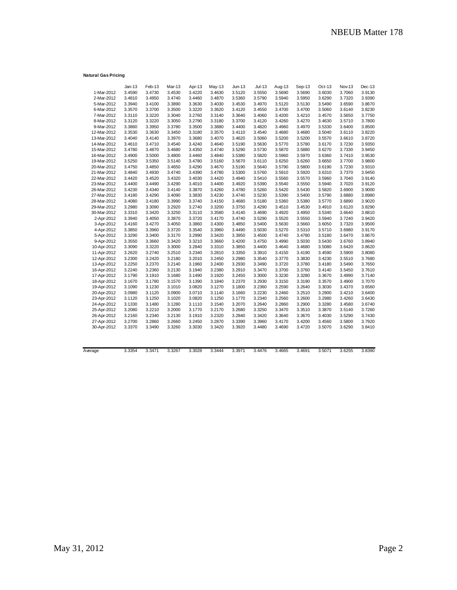## **Natural Gas Pricing**

|             | $Jan-13$ | Feb-13 | Mar-13 | Apr-13 | May-13 | Jun-13 | $Jul-13$ | Aug-13 | Sep-13 | Oct-13 | Nov-13 | Dec-13 |
|-------------|----------|--------|--------|--------|--------|--------|----------|--------|--------|--------|--------|--------|
| 1-Mar-2012  | 3.4590   | 3.4730 | 3.4530 | 3.4220 | 3.4630 | 3.5120 | 3.5550   | 3.5690 | 3.5690 | 3.6030 | 3.7060 | 3.9130 |
| 2-Mar-2012  | 3.4810   | 3.4950 | 3.4740 | 3.4460 | 3.4870 | 3.5360 | 3.5790   | 3.5940 | 3.5950 | 3.6290 | 3.7320 | 3.9390 |
| 5-Mar-2012  | 3.3940   | 3.4100 | 3.3890 | 3.3630 | 3.4030 | 3.4530 | 3.4970   | 3.5120 | 3.5130 | 3.5490 | 3.6590 | 3.8670 |
| 6-Mar-2012  | 3.3570   | 3.3700 | 3.3500 | 3.3220 | 3.3620 | 3.4120 | 3.4550   | 3.4700 | 3.4700 | 3.5060 | 3.6140 | 3.8230 |
| 7-Mar-2012  | 3.3110   | 3.3220 | 3.3040 | 3.2760 | 3.3140 | 3.3640 | 3.4060   | 3.4200 | 3.4210 | 3.4570 | 3.5650 | 3.7750 |
| 8-Mar-2012  | 3.3120   | 3.3220 | 3.3050 | 3.2790 | 3.3180 | 3.3700 | 3.4120   | 3.4260 | 3.4270 | 3.4630 | 3.5710 | 3.7800 |
| 9-Mar-2012  | 3.3860   | 3.3950 | 3.3780 | 3.3500 | 3.3880 | 3.4400 | 3.4820   | 3.4960 | 3.4970 | 3.5330 | 3.6400 | 3.8500 |
| 12-Mar-2012 | 3.3530   | 3.3630 | 3.3450 | 3.3180 | 3.3570 | 3.4110 | 3.4540   | 3.4680 | 3.4680 | 3.5040 | 3.6110 | 3.8220 |
| 13-Mar-2012 | 3.4040   | 3.4140 | 3.3970 | 3.3680 | 3.4070 | 3.4620 | 3.5060   | 3.5200 | 3.5200 | 3.5570 | 3.6610 | 3.8720 |
| 14-Mar-2012 | 3.4610   | 3.4710 | 3.4540 | 3.4240 | 3.4640 | 3.5190 | 3.5630   | 3.5770 | 3.5780 | 3.6170 | 3.7230 | 3.9350 |
| 15-Mar-2012 | 3.4780   | 3.4870 | 3.4680 | 3.4350 | 3.4740 | 3.5290 | 3.5730   | 3.5870 | 3.5880 | 3.6270 | 3.7330 | 3.9450 |
| 16-Mar-2012 | 3.4900   | 3.5000 | 3.4800 | 3.4460 | 3.4840 | 3.5380 | 3.5820   | 3.5960 | 3.5970 | 3.6360 | 3.7410 | 3.9530 |
| 19-Mar-2012 | 3.5250   | 3.5350 | 3.5140 | 3.4780 | 3.5160 | 3.5670 | 3.6110   | 3.6250 | 3.6260 | 3.6650 | 3.7700 | 3.9800 |
| 20-Mar-2012 | 3.4750   | 3.4850 | 3.4650 | 3.4290 | 3.4670 | 3.5190 | 3.5640   | 3.5790 | 3.5800 | 3.6190 | 3.7230 | 3.9310 |
| 21-Mar-2012 | 3.4840   | 3.4930 | 3.4740 | 3.4390 | 3.4780 | 3.5300 | 3.5760   | 3.5910 | 3.5920 | 3.6310 | 3.7370 | 3.9450 |
| 22-Mar-2012 | 3.4420   | 3.4520 | 3.4320 | 3.4030 | 3.4420 | 3.4940 | 3.5410   | 3.5560 | 3.5570 | 3.5960 | 3.7040 | 3.9140 |
| 23-Mar-2012 | 3.4400   | 3.4490 | 3.4290 | 3.4010 | 3.4400 | 3.4920 | 3.5390   | 3.5540 | 3.5550 | 3.5940 | 3.7020 | 3.9120 |
| 26-Mar-2012 | 3.4230   | 3.4340 | 3.4140 | 3.3870 | 3.4260 | 3.4780 | 3.5260   | 3.5420 | 3.5430 | 3.5820 | 3.6900 | 3.9000 |
| 27-Mar-2012 | 3.4180   | 3.4290 | 3.4090 | 3.3830 | 3.4230 | 3.4740 | 3.5230   | 3.5390 | 3.5400 | 3.5790 | 3.6880 | 3.8980 |
| 28-Mar-2012 | 3.4080   | 3.4180 | 3.3990 | 3.3740 | 3.4150 | 3.4680 | 3.5180   | 3.5360 | 3.5380 | 3.5770 | 3.6890 | 3.9020 |
| 29-Mar-2012 | 3.2980   | 3.3090 | 3.2920 | 3.2740 | 3.3200 | 3.3750 | 3.4290   | 3.4510 | 3.4530 | 3.4910 | 3.6120 | 3.8290 |
| 30-Mar-2012 | 3.3310   | 3.3420 | 3.3250 | 3.3110 | 3.3580 | 3.4140 | 3.4690   | 3.4920 | 3.4950 | 3.5340 | 3.6640 | 3.8810 |
| 2-Apr-2012  | 3.3940   | 3.4050 | 3.3870 | 3.3720 | 3.4170 | 3.4740 | 3.5290   | 3.5520 | 3.5550 | 3.5940 | 3.7240 | 3.9420 |
| 3-Apr-2012  | 3.4160   | 3.4270 | 3.4050 | 3.3860 | 3.4300 | 3.4850 | 3.5400   | 3.5630 | 3.5660 | 3.6050 | 3.7320 | 3.9500 |
| 4-Apr-2012  | 3.3850   | 3.3960 | 3.3720 | 3.3540 | 3.3960 | 3.4490 | 3.5030   | 3.5270 | 3.5310 | 3.5710 | 3.6980 | 3.9170 |
| 5-Apr-2012  | 3.3290   | 3.3400 | 3.3170 | 3.2990 | 3.3420 | 3.3950 | 3.4500   | 3.4740 | 3.4780 | 3.5180 | 3.6470 | 3.8670 |
| 9-Apr-2012  | 3.3550   | 3.3660 | 3.3420 | 3.3210 | 3.3660 | 3.4200 | 3.4750   | 3.4990 | 3.5030 | 3.5430 | 3.6760 | 3.8940 |
| 10-Apr-2012 | 3.3090   | 3.3220 | 3.3000 | 3.2840 | 3.3310 | 3.3850 | 3.4400   | 3.4640 | 3.4680 | 3.5080 | 3.6420 | 3.8620 |
| 11-Apr-2012 | 3.2620   | 3.2740 | 3.2510 | 3.2340 | 3.2810 | 3.3350 | 3.3910   | 3.4150 | 3.4190 | 3.4590 | 3.5900 | 3.8080 |
| 12-Apr-2012 | 3.2300   | 3.2420 | 3.2180 | 3.2010 | 3.2450 | 3.2980 | 3.3540   | 3.3770 | 3.3830 | 3.4230 | 3.5510 | 3.7680 |
| 13-Apr-2012 | 3.2250   | 3.2370 | 3.2140 | 3.1960 | 3.2400 | 3.2930 | 3.3490   | 3.3720 | 3.3780 | 3.4180 | 3.5490 | 3.7650 |
| 16-Apr-2012 | 3.2240   | 3.2360 | 3.2130 | 3.1940 | 3.2380 | 3.2910 | 3.3470   | 3.3700 | 3.3760 | 3.4140 | 3.5450 | 3.7610 |
| 17-Apr-2012 | 3.1790   | 3.1910 | 3.1680 | 3.1490 | 3.1920 | 3.2450 | 3.3000   | 3.3230 | 3.3280 | 3.3670 | 3.4990 | 3.7140 |
| 18-Apr-2012 | 3.1670   | 3.1780 | 3.1570 | 3.1390 | 3.1840 | 3.2370 | 3.2930   | 3.3150 | 3.3190 | 3.3570 | 3.4900 | 3.7070 |
| 19-Apr-2012 | 3.1090   | 3.1230 | 3.1010 | 3.0820 | 3.1270 | 3.1800 | 3.2360   | 3.2590 | 3.2640 | 3.3030 | 3.4370 | 3.6560 |
| 20-Apr-2012 | 3.0980   | 3.1120 | 3.0900 | 3.0710 | 3.1140 | 3.1660 | 3.2230   | 3.2460 | 3.2510 | 3.2900 | 3.4210 | 3.6400 |
| 23-Apr-2012 | 3.1120   | 3.1250 | 3.1020 | 3.0820 | 3.1250 | 3.1770 | 3.2340   | 3.2560 | 3.2600 | 3.2980 | 3.4260 | 3.6430 |
| 24-Apr-2012 | 3.1330   | 3.1480 | 3.1280 | 3.1110 | 3.1540 | 3.2070 | 3.2640   | 3.2860 | 3.2900 | 3.3280 | 3.4580 | 3.6740 |
| 25-Apr-2012 | 3.2080   | 3.2210 | 3.2000 | 3.1770 | 3.2170 | 3.2680 | 3.3250   | 3.3470 | 3.3510 | 3.3870 | 3.5140 | 3.7260 |
| 26-Apr-2012 | 3.2160   | 3.2340 | 3.2130 | 3.1910 | 3.2320 | 3.2840 | 3.3420   | 3.3640 | 3.3670 | 3.4030 | 3.5290 | 3.7430 |
| 27-Apr-2012 | 3.2700   | 3.2860 | 3.2660 | 3.2450 | 3.2870 | 3.3390 | 3.3960   | 3.4170 | 3.4200 | 3.4560 | 3.5800 | 3.7920 |
| 30-Apr-2012 | 3.3370   | 3.3490 | 3.3260 | 3.3030 | 3.3420 | 3.3920 | 3.4480   | 3.4690 | 3.4720 | 3.5070 | 3.6290 | 3.8410 |
|             |          |        |        |        |        |        |          |        |        |        |        |        |
|             |          |        |        |        |        |        |          |        |        |        |        |        |

| Average | 3.3354<br>. | 3 3471<br>ັບເປ | 3.3267<br>. | 3.3028<br>. | 3.3444 | 3.397 <sup>4</sup> | .4476<br>◡.→ | .4665<br>٠. | 3.4691 | 3.507'<br>. | 3.6255<br>. | 3.8390 |
|---------|-------------|----------------|-------------|-------------|--------|--------------------|--------------|-------------|--------|-------------|-------------|--------|